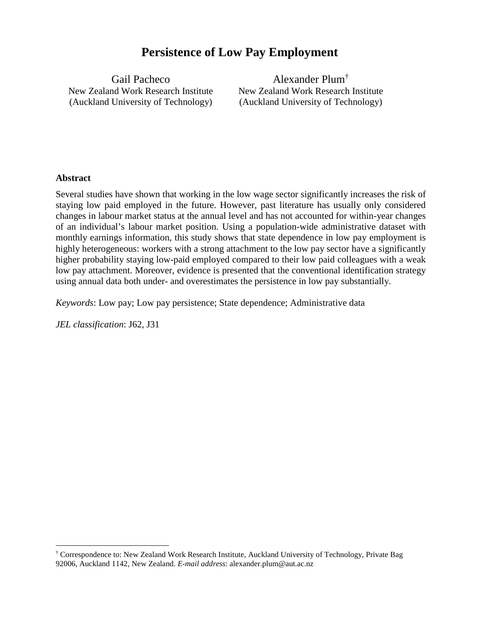# **Persistence of Low Pay Employment**

Gail Pacheco New Zealand Work Research Institute (Auckland University of Technology)

Alexander Plum[†](#page-0-0) New Zealand Work Research Institute (Auckland University of Technology)

### **Abstract**

Several studies have shown that working in the low wage sector significantly increases the risk of staying low paid employed in the future. However, past literature has usually only considered changes in labour market status at the annual level and has not accounted for within-year changes of an individual's labour market position. Using a population-wide administrative dataset with monthly earnings information, this study shows that state dependence in low pay employment is highly heterogeneous: workers with a strong attachment to the low pay sector have a significantly higher probability staying low-paid employed compared to their low paid colleagues with a weak low pay attachment. Moreover, evidence is presented that the conventional identification strategy using annual data both under- and overestimates the persistence in low pay substantially.

*Keywords*: Low pay; Low pay persistence; State dependence; Administrative data

*JEL classification*: J62, J31

<span id="page-0-0"></span> <sup>†</sup> Correspondence to: New Zealand Work Research Institute, Auckland University of Technology, Private Bag 92006, Auckland 1142, New Zealand. *E-mail address*: alexander.plum@aut.ac.nz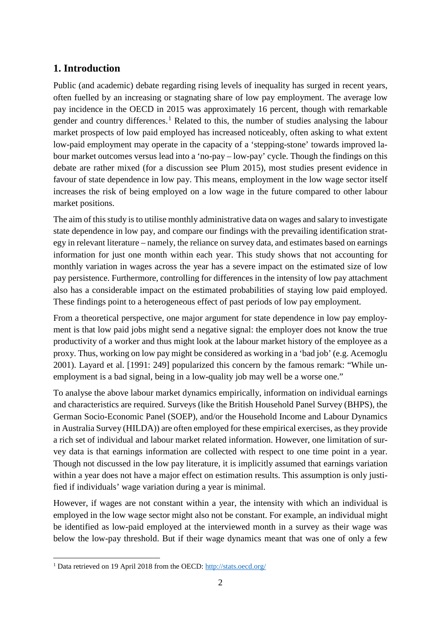# **1. Introduction**

Public (and academic) debate regarding rising levels of inequality has surged in recent years, often fuelled by an increasing or stagnating share of low pay employment. The average low pay incidence in the OECD in 2015 was approximately 16 percent, though with remarkable gender and country differences.<sup>[1](#page-1-0)</sup> Related to this, the number of studies analysing the labour market prospects of low paid employed has increased noticeably, often asking to what extent low-paid employment may operate in the capacity of a 'stepping-stone' towards improved labour market outcomes versus lead into a 'no-pay – low-pay' cycle. Though the findings on this debate are rather mixed (for a discussion see Plum 2015), most studies present evidence in favour of state dependence in low pay. This means, employment in the low wage sector itself increases the risk of being employed on a low wage in the future compared to other labour market positions.

The aim of this study is to utilise monthly administrative data on wages and salary to investigate state dependence in low pay, and compare our findings with the prevailing identification strategy in relevant literature – namely, the reliance on survey data, and estimates based on earnings information for just one month within each year. This study shows that not accounting for monthly variation in wages across the year has a severe impact on the estimated size of low pay persistence. Furthermore, controlling for differences in the intensity of low pay attachment also has a considerable impact on the estimated probabilities of staying low paid employed. These findings point to a heterogeneous effect of past periods of low pay employment.

From a theoretical perspective, one major argument for state dependence in low pay employment is that low paid jobs might send a negative signal: the employer does not know the true productivity of a worker and thus might look at the labour market history of the employee as a proxy. Thus, working on low pay might be considered as working in a 'bad job' (e.g. Acemoglu 2001). Layard et al. [1991: 249] popularized this concern by the famous remark: "While unemployment is a bad signal, being in a low-quality job may well be a worse one."

To analyse the above labour market dynamics empirically, information on individual earnings and characteristics are required. Surveys (like the British Household Panel Survey (BHPS), the German Socio-Economic Panel (SOEP), and/or the Household Income and Labour Dynamics in Australia Survey (HILDA)) are often employed for these empirical exercises, as they provide a rich set of individual and labour market related information. However, one limitation of survey data is that earnings information are collected with respect to one time point in a year. Though not discussed in the low pay literature, it is implicitly assumed that earnings variation within a year does not have a major effect on estimation results. This assumption is only justified if individuals' wage variation during a year is minimal.

However, if wages are not constant within a year, the intensity with which an individual is employed in the low wage sector might also not be constant. For example, an individual might be identified as low-paid employed at the interviewed month in a survey as their wage was below the low-pay threshold. But if their wage dynamics meant that was one of only a few

<span id="page-1-0"></span> <sup>1</sup> Data retrieved on 19 April 2018 from the OECD:<http://stats.oecd.org/>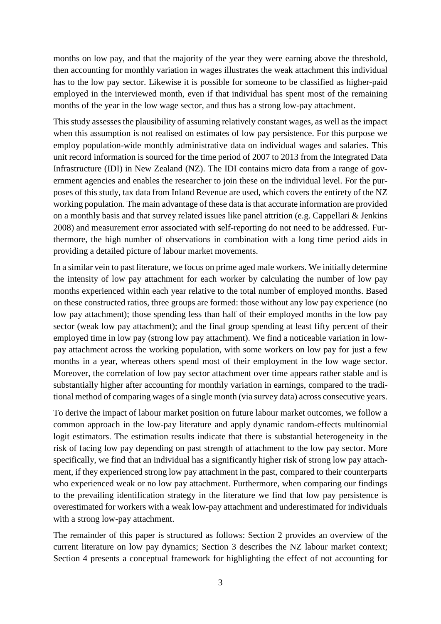months on low pay, and that the majority of the year they were earning above the threshold, then accounting for monthly variation in wages illustrates the weak attachment this individual has to the low pay sector. Likewise it is possible for someone to be classified as higher-paid employed in the interviewed month, even if that individual has spent most of the remaining months of the year in the low wage sector, and thus has a strong low-pay attachment.

This study assesses the plausibility of assuming relatively constant wages, as well as the impact when this assumption is not realised on estimates of low pay persistence. For this purpose we employ population-wide monthly administrative data on individual wages and salaries. This unit record information is sourced for the time period of 2007 to 2013 from the Integrated Data Infrastructure (IDI) in New Zealand (NZ). The IDI contains micro data from a range of government agencies and enables the researcher to join these on the individual level. For the purposes of this study, tax data from Inland Revenue are used, which covers the entirety of the NZ working population. The main advantage of these data is that accurate information are provided on a monthly basis and that survey related issues like panel attrition (e.g. Cappellari & Jenkins 2008) and measurement error associated with self-reporting do not need to be addressed. Furthermore, the high number of observations in combination with a long time period aids in providing a detailed picture of labour market movements.

In a similar vein to past literature, we focus on prime aged male workers. We initially determine the intensity of low pay attachment for each worker by calculating the number of low pay months experienced within each year relative to the total number of employed months. Based on these constructed ratios, three groups are formed: those without any low pay experience (no low pay attachment); those spending less than half of their employed months in the low pay sector (weak low pay attachment); and the final group spending at least fifty percent of their employed time in low pay (strong low pay attachment). We find a noticeable variation in lowpay attachment across the working population, with some workers on low pay for just a few months in a year, whereas others spend most of their employment in the low wage sector. Moreover, the correlation of low pay sector attachment over time appears rather stable and is substantially higher after accounting for monthly variation in earnings, compared to the traditional method of comparing wages of a single month (via survey data) across consecutive years.

To derive the impact of labour market position on future labour market outcomes, we follow a common approach in the low-pay literature and apply dynamic random-effects multinomial logit estimators. The estimation results indicate that there is substantial heterogeneity in the risk of facing low pay depending on past strength of attachment to the low pay sector. More specifically, we find that an individual has a significantly higher risk of strong low pay attachment, if they experienced strong low pay attachment in the past, compared to their counterparts who experienced weak or no low pay attachment. Furthermore, when comparing our findings to the prevailing identification strategy in the literature we find that low pay persistence is overestimated for workers with a weak low-pay attachment and underestimated for individuals with a strong low-pay attachment.

The remainder of this paper is structured as follows: Section 2 provides an overview of the current literature on low pay dynamics; Section 3 describes the NZ labour market context; Section 4 presents a conceptual framework for highlighting the effect of not accounting for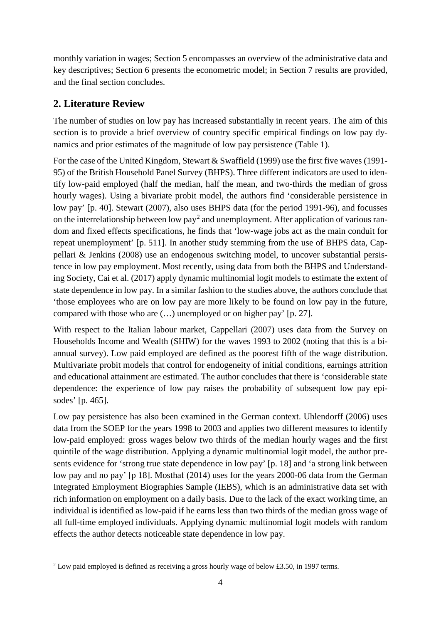monthly variation in wages; Section 5 encompasses an overview of the administrative data and key descriptives; Section 6 presents the econometric model; in Section 7 results are provided, and the final section concludes.

# **2. Literature Review**

The number of studies on low pay has increased substantially in recent years. The aim of this section is to provide a brief overview of country specific empirical findings on low pay dynamics and prior estimates of the magnitude of low pay persistence (Table 1).

For the case of the United Kingdom, Stewart & Swaffield (1999) use the first five waves (1991- 95) of the British Household Panel Survey (BHPS). Three different indicators are used to identify low-paid employed (half the median, half the mean, and two-thirds the median of gross hourly wages). Using a bivariate probit model, the authors find 'considerable persistence in low pay' [p. 40]. Stewart (2007), also uses BHPS data (for the period 1991-96), and focusses on the interrelationship between low  $pay^2$  $pay^2$  and unemployment. After application of various random and fixed effects specifications, he finds that 'low-wage jobs act as the main conduit for repeat unemployment' [p. 511]. In another study stemming from the use of BHPS data, Cappellari & Jenkins (2008) use an endogenous switching model, to uncover substantial persistence in low pay employment. Most recently, using data from both the BHPS and Understanding Society, Cai et al. (2017) apply dynamic multinomial logit models to estimate the extent of state dependence in low pay. In a similar fashion to the studies above, the authors conclude that 'those employees who are on low pay are more likely to be found on low pay in the future, compared with those who are (…) unemployed or on higher pay' [p. 27].

With respect to the Italian labour market, Cappellari (2007) uses data from the Survey on Households Income and Wealth (SHIW) for the waves 1993 to 2002 (noting that this is a biannual survey). Low paid employed are defined as the poorest fifth of the wage distribution. Multivariate probit models that control for endogeneity of initial conditions, earnings attrition and educational attainment are estimated. The author concludes that there is 'considerable state dependence: the experience of low pay raises the probability of subsequent low pay episodes' [p. 465].

Low pay persistence has also been examined in the German context. Uhlendorff (2006) uses data from the SOEP for the years 1998 to 2003 and applies two different measures to identify low-paid employed: gross wages below two thirds of the median hourly wages and the first quintile of the wage distribution. Applying a dynamic multinomial logit model, the author presents evidence for 'strong true state dependence in low pay' [p. 18] and 'a strong link between low pay and no pay' [p 18]. Mosthaf (2014) uses for the years 2000-06 data from the German Integrated Employment Biographies Sample (IEBS), which is an administrative data set with rich information on employment on a daily basis. Due to the lack of the exact working time, an individual is identified as low-paid if he earns less than two thirds of the median gross wage of all full-time employed individuals. Applying dynamic multinomial logit models with random effects the author detects noticeable state dependence in low pay.

<span id="page-3-0"></span> $2$  Low paid employed is defined as receiving a gross hourly wage of below £3.50, in 1997 terms.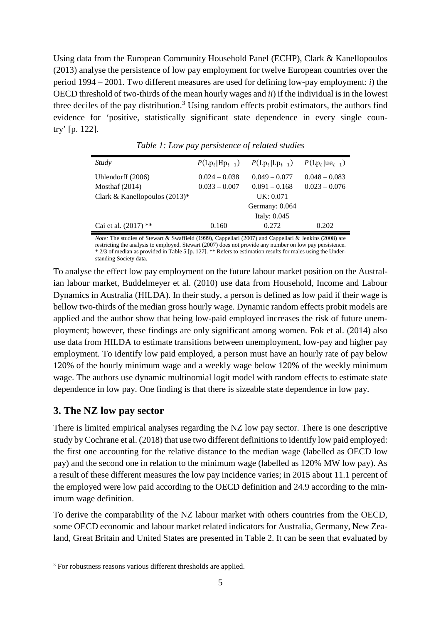Using data from the European Community Household Panel (ECHP), Clark & Kanellopoulos (2013) analyse the persistence of low pay employment for twelve European countries over the period 1994 – 2001. Two different measures are used for defining low-pay employment: *i*) the OECD threshold of two-thirds of the mean hourly wages and *ii*) if the individual is in the lowest three deciles of the pay distribution.<sup>[3](#page-4-0)</sup> Using random effects probit estimators, the authors find evidence for 'positive, statistically significant state dependence in every single country' [p. 122].

| Study                           | $P(\text{Lp}_t \text{Hp}_{t-1})$ | $P(\text{Lp}_t   \text{Lp}_{t-1})$ | $P(\text{Lp}_t   \text{ue}_{t-1})$ |
|---------------------------------|----------------------------------|------------------------------------|------------------------------------|
| Uhlendorff (2006)               | $0.024 - 0.038$                  | $0.049 - 0.077$                    | $0.048 - 0.083$                    |
| Mosthaf $(2014)$                | $0.033 - 0.007$                  | $0.091 - 0.168$                    | $0.023 - 0.076$                    |
| Clark & Kanellopoulos $(2013)*$ |                                  | UK: 0.071                          |                                    |
|                                 |                                  | Germany: 0.064                     |                                    |
|                                 |                                  | Italy: $0.045$                     |                                    |
| Cai et al. $(2017)$ **          | 0.160                            | 0.272                              | 0.202                              |

*Table 1: Low pay persistence of related studies*

*Note:* The studies of Stewart & Swaffield (1999), Cappellari (2007) and Cappellari & Jenkins (2008) are restricting the analysis to employed. Stewart (2007) does not provide any number on low pay persistence. \* 2/3 of median as provided in Table 5 [p. 127]. \*\* Refers to estimation results for males using the Understanding Society data.

To analyse the effect low pay employment on the future labour market position on the Australian labour market, Buddelmeyer et al. (2010) use data from Household, Income and Labour Dynamics in Australia (HILDA). In their study, a person is defined as low paid if their wage is bellow two-thirds of the median gross hourly wage. Dynamic random effects probit models are applied and the author show that being low-paid employed increases the risk of future unemployment; however, these findings are only significant among women. Fok et al. (2014) also use data from HILDA to estimate transitions between unemployment, low-pay and higher pay employment. To identify low paid employed, a person must have an hourly rate of pay below 120% of the hourly minimum wage and a weekly wage below 120% of the weekly minimum wage. The authors use dynamic multinomial logit model with random effects to estimate state dependence in low pay. One finding is that there is sizeable state dependence in low pay.

## **3. The NZ low pay sector**

There is limited empirical analyses regarding the NZ low pay sector. There is one descriptive study by Cochrane et al. (2018) that use two different definitions to identify low paid employed: the first one accounting for the relative distance to the median wage (labelled as OECD low pay) and the second one in relation to the minimum wage (labelled as 120% MW low pay). As a result of these different measures the low pay incidence varies; in 2015 about 11.1 percent of the employed were low paid according to the OECD definition and 24.9 according to the minimum wage definition.

To derive the comparability of the NZ labour market with others countries from the OECD, some OECD economic and labour market related indicators for Australia, Germany, New Zealand, Great Britain and United States are presented in Table 2. It can be seen that evaluated by

<span id="page-4-0"></span><sup>&</sup>lt;sup>3</sup> For robustness reasons various different thresholds are applied.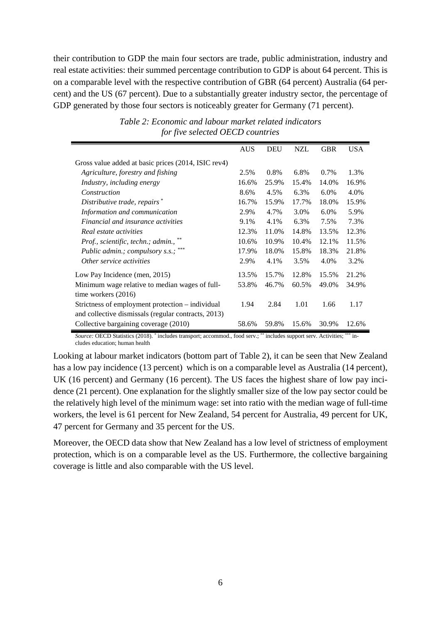their contribution to GDP the main four sectors are trade, public administration, industry and real estate activities: their summed percentage contribution to GDP is about 64 percent. This is on a comparable level with the respective contribution of GBR (64 percent) Australia (64 percent) and the US (67 percent). Due to a substantially greater industry sector, the percentage of GDP generated by those four sectors is noticeably greater for Germany (71 percent).

|                                                     | <b>AUS</b> | <b>DEU</b> | <b>NZL</b> | <b>GBR</b> | <b>USA</b> |
|-----------------------------------------------------|------------|------------|------------|------------|------------|
| Gross value added at basic prices (2014, ISIC rev4) |            |            |            |            |            |
| Agriculture, forestry and fishing                   | 2.5%       | $0.8\%$    | 6.8%       | $0.7\%$    | 1.3%       |
| Industry, including energy                          | 16.6%      | 25.9%      | 15.4%      | 14.0%      | 16.9%      |
| Construction                                        | 8.6%       | 4.5%       | 6.3%       | $6.0\%$    | 4.0%       |
| Distributive trade, repairs*                        | 16.7%      | 15.9%      | 17.7%      | 18.0%      | 15.9%      |
| Information and communication                       | 2.9%       | 4.7%       | 3.0%       | $6.0\%$    | 5.9%       |
| <i>Financial and insurance activities</i>           | 9.1%       | 4.1%       | 6.3%       | 7.5%       | 7.3%       |
| Real estate activities                              | 12.3%      | 11.0%      | 14.8%      | 13.5%      | 12.3%      |
| Prof., scientific, techn.; admin., **               | 10.6%      | 10.9%      | 10.4%      | 12.1%      | 11.5%      |
| Public admin.; compulsory s.s.;                     | 17.9%      | 18.0%      | 15.8%      | 18.3%      | 21.8%      |
| Other service activities                            | 2.9%       | 4.1%       | 3.5%       | 4.0%       | 3.2%       |
| Low Pay Incidence (men, 2015)                       | 13.5%      | 15.7%      | 12.8%      | 15.5%      | 21.2%      |
| Minimum wage relative to median wages of full-      | 53.8%      | 46.7%      | 60.5%      | 49.0%      | 34.9%      |
| time workers $(2016)$                               |            |            |            |            |            |
| Strictness of employment protection – individual    | 1.94       | 2.84       | 1.01       | 1.66       | 1.17       |
| and collective dismissals (regular contracts, 2013) |            |            |            |            |            |
| Collective bargaining coverage (2010)               | 58.6%      | 59.8%      | 15.6%      | 30.9%      | 12.6%      |

*Table 2: Economic and labour market related indicators for five selected OECD countries*

*Source:* OECD Statistics (2018). \* includes transport; accommod., food serv.; \*\* includes support serv. Activities; \*\*\* includes education; human health

Looking at labour market indicators (bottom part of Table 2), it can be seen that New Zealand has a low pay incidence (13 percent) which is on a comparable level as Australia (14 percent), UK (16 percent) and Germany (16 percent). The US faces the highest share of low pay incidence (21 percent). One explanation for the slightly smaller size of the low pay sector could be the relatively high level of the minimum wage: set into ratio with the median wage of full-time workers, the level is 61 percent for New Zealand, 54 percent for Australia, 49 percent for UK, 47 percent for Germany and 35 percent for the US.

Moreover, the OECD data show that New Zealand has a low level of strictness of employment protection, which is on a comparable level as the US. Furthermore, the collective bargaining coverage is little and also comparable with the US level.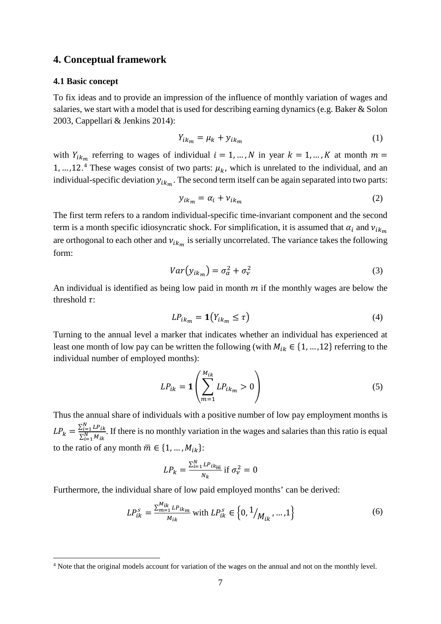### **4. Conceptual framework**

#### **4.1 Basic concept**

To fix ideas and to provide an impression of the influence of monthly variation of wages and salaries, we start with a model that is used for describing earning dynamics (e.g. Baker & Solon 2003, Cappellari & Jenkins 2014):

$$
Y_{ik_m} = \mu_k + y_{ik_m} \tag{1}
$$

with  $Y_{ik_m}$  referring to wages of individual  $i = 1, ..., N$  in year  $k = 1, ..., K$  at month  $m =$ 1, ..., 12.<sup>[4](#page-6-0)</sup> These wages consist of two parts:  $\mu_k$ , which is unrelated to the individual, and an individual-specific deviation  $y_{ik_m}$ . The second term itself can be again separated into two parts:

$$
y_{ik_m} = \alpha_i + \nu_{ik_m} \tag{2}
$$

The first term refers to a random individual-specific time-invariant component and the second term is a month specific idiosyncratic shock. For simplification, it is assumed that  $\alpha_i$  and  $v_{ik_m}$ are orthogonal to each other and  $v_{ik_m}$  is serially uncorrelated. The variance takes the following form:

$$
Var(y_{ik_m}) = \sigma_{\alpha}^2 + \sigma_{\nu}^2
$$
 (3)

An individual is identified as being low paid in month  $m$  if the monthly wages are below the threshold  $\tau$ :

$$
LP_{ik_m} = \mathbf{1}(Y_{ik_m} \le \tau) \tag{4}
$$

Turning to the annual level a marker that indicates whether an individual has experienced at least one month of low pay can be written the following (with  $M_{ik} \in \{1, ..., 12\}$  referring to the individual number of employed months):

$$
LP_{ik} = \mathbf{1} \left( \sum_{m=1}^{M_{ik}} LP_{ik_m} > 0 \right) \tag{5}
$$

Thus the annual share of individuals with a positive number of low pay employment months is  $LP_k = \frac{\sum_{i=1}^N LP_{ik}}{\sum_{i=1}^N M_{ik}}$  $\sum_{i=1}^N M_{ik}$ . If there is no monthly variation in the wages and salaries than this ratio is equal to the ratio of any month  $\overline{m} \in \{1, ..., M_{ik}\}\$ :

$$
LP_k = \frac{\sum_{i=1}^{N} LP_{ik_{\overline{m}}}}{N_k} \text{ if } \sigma_{\nu}^2 = 0
$$

Furthermore, the individual share of low paid employed months' can be derived:

$$
LP_{ik}^s = \frac{\sum_{m=1}^{M_{ik}} L P_{ikm}}{M_{ik}} \text{ with } LP_{ik}^s \in \left\{0, \frac{1}{M_{ik}}, \dots, 1\right\} \tag{6}
$$

<span id="page-6-0"></span><sup>&</sup>lt;sup>4</sup> Note that the original models account for variation of the wages on the annual and not on the monthly level.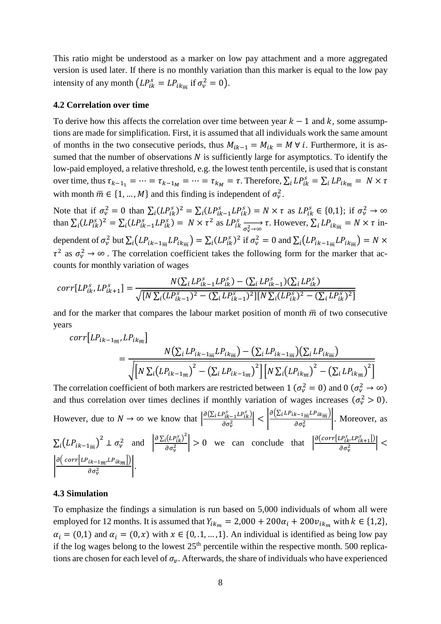This ratio might be understood as a marker on low pay attachment and a more aggregated version is used later. If there is no monthly variation than this marker is equal to the low pay intensity of any month  $(LP_{ik}^s = LP_{ikm}$  if  $\sigma_v^2 = 0$ .

#### **4.2 Correlation over time**

To derive how this affects the correlation over time between year  $k-1$  and k, some assumptions are made for simplification. First, it is assumed that all individuals work the same amount of months in the two consecutive periods, thus  $M_{ik-1} = M_{ik} = M \forall i$ . Furthermore, it is assumed that the number of observations  $N$  is sufficiently large for asymptotics. To identify the low-paid employed, a relative threshold, e.g. the lowest tenth percentile, is used that is constant over time, thus  $\tau_{k-1} = \cdots = \tau_{k-1_M} = \cdots = \tau_{k_M} = \tau$ . Therefore,  $\sum_i LP_{ik}^s = \sum_i LP_{ik} = N \times \tau$ with month  $\overline{m} \in \{1, ..., M\}$  and this finding is independent of  $\sigma_v^2$ .

Note that if  $\sigma_v^2 = 0$  than  $\sum_i (LP_{ik}^s)^2 = \sum_i (LP_{ik-1}^s LP_{ik}^s) = N \times \tau$  as  $LP_{ik}^s \in \{0,1\}$ ; if  $\sigma_v^2 \to \infty$ <br>than  $\sum_i (LP_{ik}^s)^2 = \sum_i (LP_{ik-1}^s LP_{ik}^s) = N \times \tau^2$  as  $LP_{ik}^s \xrightarrow[\sigma_v^2 \to \infty]{\sigma_v^2 \to \infty} \tau$ . However,  $\sum_i LP_{ik_{\overline{m}}} = N$ dependent of  $\sigma_v^2$  but  $\sum_i (LP_{ik-1m}LP_{ikm}) = \sum_i (LP_{ik}^s)^2$  if  $\sigma_v^2 = 0$  and  $\sum_i (LP_{ik-1m}LP_{ikm}) = N \times$  $\tau^2$  as  $\sigma_v^2 \to \infty$ . The correlation coefficient takes the following form for the marker that accounts for monthly variation of wages

$$
corr[LP_{ik}^{s}, LP_{ik+1}^{s}] = \frac{N(\sum_{i} LP_{ik-1}^{s} LP_{ik}^{s}) - (\sum_{i} LP_{ik-1}^{s})(\sum_{i} LP_{ik}^{s})}{\sqrt{[N \sum_{i} (LP_{ik-1}^{s})^{2} - (\sum_{i} LP_{ik-1}^{s})^{2}][N \sum_{i} (LP_{ik}^{s})^{2} - (\sum_{i} LP_{ik}^{s})^{2}]}}
$$

and for the marker that compares the labour market position of month  $\overline{m}$  of two consecutive years

$$
corr[LP_{ik-1_m}, LP_{ik_m}]
$$
  
= 
$$
\frac{N(\sum_{i} LP_{ik-1_m}LP_{ik_m}) - (\sum_{i} LP_{ik-1_m})(\sum_{i} LP_{ik_m})}{\sqrt{[N \sum_{i} (LP_{ik-1_m})^2 - (\sum_{i} LP_{ik-1_m})^2][N \sum_{i} (LP_{ik_m})^2 - (\sum_{i} LP_{ik_m})^2]}}
$$

The correlation coefficient of both markers are restricted between 1 ( $\sigma_v^2 = 0$ ) and 0 ( $\sigma_v^2 \rightarrow \infty$ ) and thus correlation over times declines if monthly variation of wages increases  $(\sigma_v^2 > 0)$ . However, due to  $N \to \infty$  we know that  $\left| \frac{\partial (\Sigma_i L P_{ik-1}^S L P_{ik}^S)}{\partial \sigma_v^2} \right| < \left| \frac{\partial (\Sigma_i L P_{ik-1}^S L P_{ik}^S)}{\partial \sigma_v^2} \right|$ . Moreover, as  $\sum_i (LP_{ik-1_{\overline{m}}})^2 \perp \sigma_v^2$  and  $\left| \frac{\partial \sum_i (LP_{ik}^s)^2}{\partial \sigma_v^2} \right| > 0$  we can conclude that  $\left| \frac{\partial (corr[LP_{ik}^s, LP_{ik+1}^s])}{\partial \sigma_v^2} \right| <$  $\left| \frac{\partial \left(\mathit{corr}\left[ \mathit{LP}_{ik-1_{\overline{m}}} , \mathit{LP}_{ik_{\overline{m}}} \right] \right)}{\partial \sigma_v^2} \right|.$ 

### **4.3 Simulation**

To emphasize the findings a simulation is run based on 5,000 individuals of whom all were employed for 12 months. It is assumed that  $Y_{ikm} = 2,000 + 200\alpha_i + 200v_{ikm}$  with  $k \in \{1,2\}$ ,  $\alpha_i = (0,1)$  and  $\alpha_i = (0,x)$  with  $x \in \{0,1,...,1\}$ . An individual is identified as being low pay if the log wages belong to the lowest  $25<sup>th</sup>$  percentile within the respective month. 500 replications are chosen for each level of  $\sigma_{v}$ . Afterwards, the share of individuals who have experienced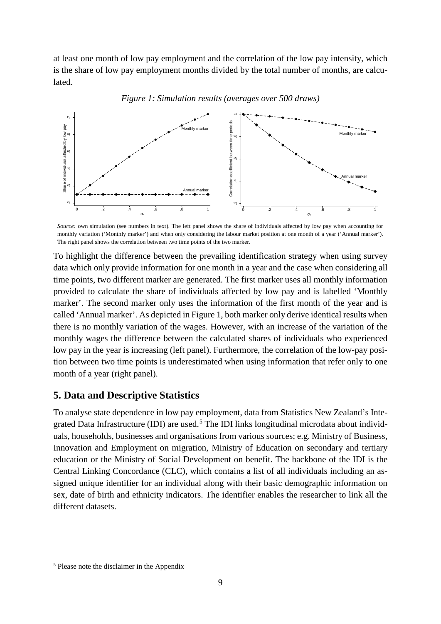at least one month of low pay employment and the correlation of the low pay intensity, which is the share of low pay employment months divided by the total number of months, are calculated.





To highlight the difference between the prevailing identification strategy when using survey data which only provide information for one month in a year and the case when considering all time points, two different marker are generated. The first marker uses all monthly information provided to calculate the share of individuals affected by low pay and is labelled 'Monthly marker'. The second marker only uses the information of the first month of the year and is called 'Annual marker'. As depicted in Figure 1, both marker only derive identical results when there is no monthly variation of the wages. However, with an increase of the variation of the monthly wages the difference between the calculated shares of individuals who experienced low pay in the year is increasing (left panel). Furthermore, the correlation of the low-pay position between two time points is underestimated when using information that refer only to one month of a year (right panel).

### **5. Data and Descriptive Statistics**

To analyse state dependence in low pay employment, data from Statistics New Zealand's Inte-grated Data Infrastructure (IDI) are used.<sup>[5](#page-8-0)</sup> The IDI links longitudinal microdata about individuals, households, businesses and organisations from various sources; e.g. Ministry of Business, Innovation and Employment on migration, Ministry of Education on secondary and tertiary education or the Ministry of Social Development on benefit. The backbone of the IDI is the Central Linking Concordance (CLC), which contains a list of all individuals including an assigned unique identifier for an individual along with their basic demographic information on sex, date of birth and ethnicity indicators. The identifier enables the researcher to link all the different datasets.

*Source:* own simulation (see numbers in text). The left panel shows the share of individuals affected by low pay when accounting for monthly variation ('Monthly marker') and when only considering the labour market position at one month of a year ('Annual marker'). The right panel shows the correlation between two time points of the two marker.

<span id="page-8-0"></span> <sup>5</sup> Please note the disclaimer in the Appendix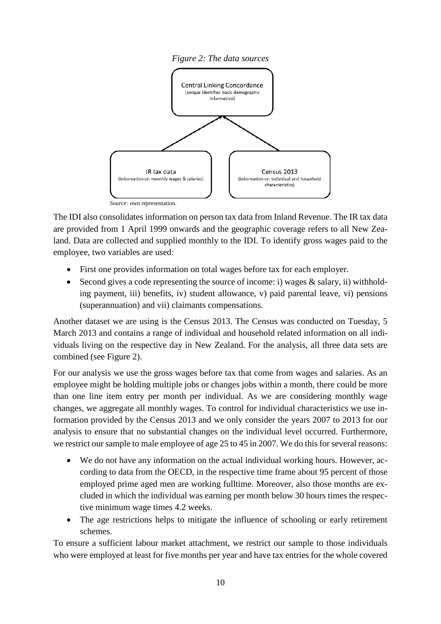

The IDI also consolidates information on person tax data from Inland Revenue. The IR tax data are provided from 1 April 1999 onwards and the geographic coverage refers to all New Zealand. Data are collected and supplied monthly to the IDI. To identify gross wages paid to the employee, two variables are used:

- First one provides information on total wages before tax for each employer.
- Second gives a code representing the source of income: i) wages & salary, ii) withholding payment, iii) benefits, iv) student allowance, v) paid parental leave, vi) pensions (superannuation) and vii) claimants compensations.

Another dataset we are using is the Census 2013. The Census was conducted on Tuesday, 5 March 2013 and contains a range of individual and household related information on all individuals living on the respective day in New Zealand. For the analysis, all three data sets are combined (see Figure 2).

For our analysis we use the gross wages before tax that come from wages and salaries. As an employee might be holding multiple jobs or changes jobs within a month, there could be more than one line item entry per month per individual. As we are considering monthly wage changes, we aggregate all monthly wages. To control for individual characteristics we use information provided by the Census 2013 and we only consider the years 2007 to 2013 for our analysis to ensure that no substantial changes on the individual level occurred. Furthermore, we restrict our sample to male employee of age 25 to 45 in 2007. We do this for several reasons:

- We do not have any information on the actual individual working hours. However, according to data from the OECD, in the respective time frame about 95 percent of those employed prime aged men are working fulltime. Moreover, also those months are excluded in which the individual was earning per month below 30 hours times the respective minimum wage times 4.2 weeks.
- The age restrictions helps to mitigate the influence of schooling or early retirement schemes.

To ensure a sufficient labour market attachment, we restrict our sample to those individuals who were employed at least for five months per year and have tax entries for the whole covered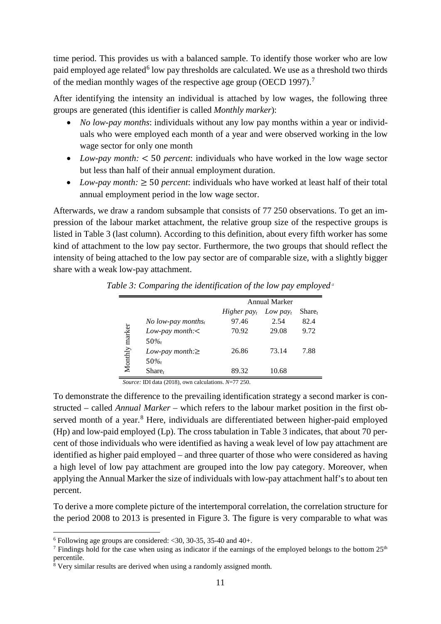time period. This provides us with a balanced sample. To identify those worker who are low paid employed age related<sup>[6](#page-10-0)</sup> low pay thresholds are calculated. We use as a threshold two thirds of the median monthly wages of the respective age group (OECD 199[7](#page-10-1)).<sup>7</sup>

After identifying the intensity an individual is attached by low wages, the following three groups are generated (this identifier is called *Monthly marker*):

- *No low-pay months*: individuals without any low pay months within a year or individuals who were employed each month of a year and were observed working in the low wage sector for only one month
- *Low-pay month:* < 50 *percent*: individuals who have worked in the low wage sector but less than half of their annual employment duration.
- *Low-pay month:*  $\geq$  50 *percent*: individuals who have worked at least half of their total annual employment period in the low wage sector.

Afterwards, we draw a random subsample that consists of 77 250 observations. To get an impression of the labour market attachment, the relative group size of the respective groups is listed in Table 3 (last column). According to this definition, about every fifth worker has some kind of attachment to the low pay sector. Furthermore, the two groups that should reflect the intensity of being attached to the low pay sector are of comparable size, with a slightly bigger share with a weak low-pay attachment.

|         |                                      | Annual Marker           |              |           |  |
|---------|--------------------------------------|-------------------------|--------------|-----------|--|
|         |                                      | Higher pay <sub>t</sub> | Low pay $_t$ | $Share_t$ |  |
|         | <i>No low-pay months<sub>t</sub></i> | 97.46                   | 2.54         | 82.4      |  |
|         | Low-pay month: $\lt$                 | 70.92                   | 29.08        | 9.72      |  |
| marker  | 50%                                  |                         |              |           |  |
|         | Low-pay month: $\geq$                | 26.86                   | 73.14        | 7.88      |  |
| Monthly | $50\%$                               |                         |              |           |  |
|         | Share <sub>t</sub>                   | 89.32                   | 10.68        |           |  |

*Table 3: Comparing the identification of the low pay employed <sup>a</sup>*

*Source:* IDI data (2018), own calculations. *N*=77 250.

To demonstrate the difference to the prevailing identification strategy a second marker is constructed – called *Annual Marker* – which refers to the labour market position in the first ob-served month of a year.<sup>[8](#page-10-2)</sup> Here, individuals are differentiated between higher-paid employed (Hp) and low-paid employed (Lp). The cross tabulation in Table 3 indicates, that about 70 percent of those individuals who were identified as having a weak level of low pay attachment are identified as higher paid employed – and three quarter of those who were considered as having a high level of low pay attachment are grouped into the low pay category. Moreover, when applying the Annual Marker the size of individuals with low-pay attachment half's to about ten percent.

To derive a more complete picture of the intertemporal correlation, the correlation structure for the period 2008 to 2013 is presented in Figure 3. The figure is very comparable to what was

<span id="page-10-0"></span> $6$  Following age groups are considered: <30, 30-35, 35-40 and 40+.

<span id="page-10-1"></span><sup>&</sup>lt;sup>7</sup> Findings hold for the case when using as indicator if the earnings of the employed belongs to the bottom  $25<sup>th</sup>$ percentile.

<span id="page-10-2"></span> $8$  Very similar results are derived when using a randomly assigned month.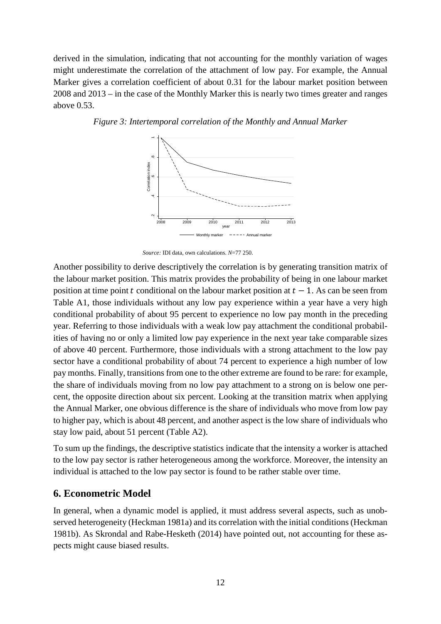derived in the simulation, indicating that not accounting for the monthly variation of wages might underestimate the correlation of the attachment of low pay. For example, the Annual Marker gives a correlation coefficient of about 0.31 for the labour market position between 2008 and 2013 – in the case of the Monthly Marker this is nearly two times greater and ranges above 0.53.



*Figure 3: Intertemporal correlation of the Monthly and Annual Marker*

Another possibility to derive descriptively the correlation is by generating transition matrix of the labour market position. This matrix provides the probability of being in one labour market position at time point t conditional on the labour market position at  $t - 1$ . As can be seen from Table A1, those individuals without any low pay experience within a year have a very high conditional probability of about 95 percent to experience no low pay month in the preceding year. Referring to those individuals with a weak low pay attachment the conditional probabilities of having no or only a limited low pay experience in the next year take comparable sizes of above 40 percent. Furthermore, those individuals with a strong attachment to the low pay sector have a conditional probability of about 74 percent to experience a high number of low pay months. Finally, transitions from one to the other extreme are found to be rare: for example, the share of individuals moving from no low pay attachment to a strong on is below one percent, the opposite direction about six percent. Looking at the transition matrix when applying the Annual Marker, one obvious difference is the share of individuals who move from low pay to higher pay, which is about 48 percent, and another aspect is the low share of individuals who stay low paid, about 51 percent (Table A2). **Performance of the sum of the sum of the sum of the labour market position. This position at time point t condition Table A1, those individuals with conditional probability of about year. Referring to those individuals w** 

To sum up the findings, the descriptive statistics indicate that the intensity a worker is attached to the low pay sector is rather heterogeneous among the workforce. Moreover, the intensity an individual is attached to the low pay sector is found to be rather stable over time.

### **6. Econometric Model**

In general, when a dynamic model is applied, it must address several aspects, such as unobserved heterogeneity (Heckman 1981a) and its correlation with the initial conditions (Heckman 1981b). As Skrondal and Rabe-Hesketh (2014) have pointed out, not accounting for these as-

*Source:* IDI data, own calculations. *N*=77 250.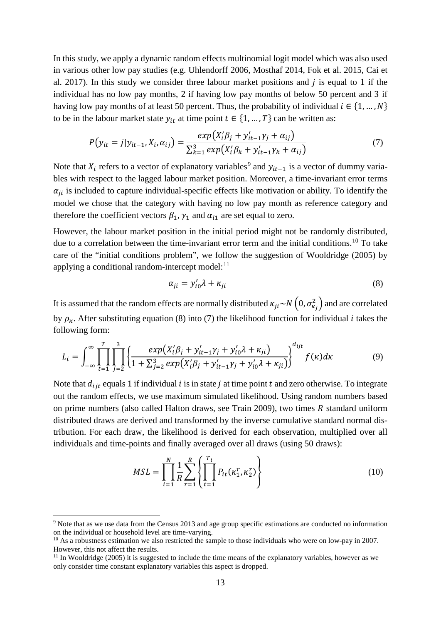In this study, we apply a dynamic random effects multinomial logit model which was also used in various other low pay studies (e.g. Uhlendorff 2006, Mosthaf 2014, Fok et al. 2015, Cai et al. 2017). In this study we consider three labour market positions and  $j$  is equal to 1 if the individual has no low pay months, 2 if having low pay months of below 50 percent and 3 if having low pay months of at least 50 percent. Thus, the probability of individual  $i \in \{1, ..., N\}$ to be in the labour market state  $y_{it}$  at time point  $t \in \{1, ..., T\}$  can be written as:

$$
P(y_{it} = j|y_{it-1}, X_i, \alpha_{ij}) = \frac{exp(X_i'\beta_j + y_{it-1}'\gamma_j + \alpha_{ij})}{\sum_{k=1}^3 exp(X_i'\beta_k + y_{it-1}'\gamma_k + \alpha_{ij})}
$$
(7)

Note that  $X_i$  refers to a vector of explanatory variables<sup>[9](#page-12-0)</sup> and  $y_{it-1}$  is a vector of dummy variables with respect to the lagged labour market position. Moreover, a time-invariant error terms  $\alpha_{ii}$  is included to capture individual-specific effects like motivation or ability. To identify the model we chose that the category with having no low pay month as reference category and therefore the coefficient vectors  $\beta_1$ ,  $\gamma_1$  and  $\alpha_{i1}$  are set equal to zero.

However, the labour market position in the initial period might not be randomly distributed, due to a correlation between the time-invariant error term and the initial conditions.<sup>[10](#page-12-1)</sup> To take care of the "initial conditions problem", we follow the suggestion of Wooldridge (2005) by applying a conditional random-intercept model: $^{11}$  $^{11}$  $^{11}$ 

$$
\alpha_{ji} = y_{i0}' \lambda + \kappa_{ji} \tag{8}
$$

It is assumed that the random effects are normally distributed  $\kappa_{ji} \sim N(0, \sigma_{\kappa_j}^2)$  and are correlated by  $\rho_{\kappa}$ . After substituting equation (8) into (7) the likelihood function for individual *i* takes the following form:

$$
L_{i} = \int_{-\infty}^{\infty} \prod_{t=1}^{T} \prod_{j=2}^{3} \left\{ \frac{exp(X_{i}'\beta_{j} + y_{it-1}'\gamma_{j} + y_{i0}'\lambda + \kappa_{ji})}{1 + \sum_{j=2}^{3} exp(X_{i}'\beta_{j} + y_{it-1}'\gamma_{j} + y_{i0}'\lambda + \kappa_{ji})} \right\}^{d_{ijt}} f(\kappa) d\kappa
$$
(9)

Note that  $d_{ijt}$  equals 1 if individual *i* is in state *j* at time point *t* and zero otherwise. To integrate out the random effects, we use maximum simulated likelihood. Using random numbers based on prime numbers (also called Halton draws, see Train 2009), two times  $R$  standard uniform distributed draws are derived and transformed by the inverse cumulative standard normal distribution. For each draw, the likelihood is derived for each observation, multiplied over all individuals and time-points and finally averaged over all draws (using 50 draws):

$$
MSL = \prod_{i=1}^{N} \frac{1}{R} \sum_{r=1}^{R} \left\{ \prod_{t=1}^{T_i} P_{it}(\kappa_1^r, \kappa_2^r) \right\}
$$
(10)

<span id="page-12-0"></span><sup>&</sup>lt;sup>9</sup> Note that as we use data from the Census 2013 and age group specific estimations are conducted no information on the individual or household level are time-varying.

<span id="page-12-1"></span><sup>&</sup>lt;sup>10</sup> As a robustness estimation we also restricted the sample to those individuals who were on low-pay in 2007. However, this not affect the results.

<span id="page-12-2"></span><sup>&</sup>lt;sup>11</sup> In Wooldridge (2005) it is suggested to include the time means of the explanatory variables, however as we only consider time constant explanatory variables this aspect is dropped.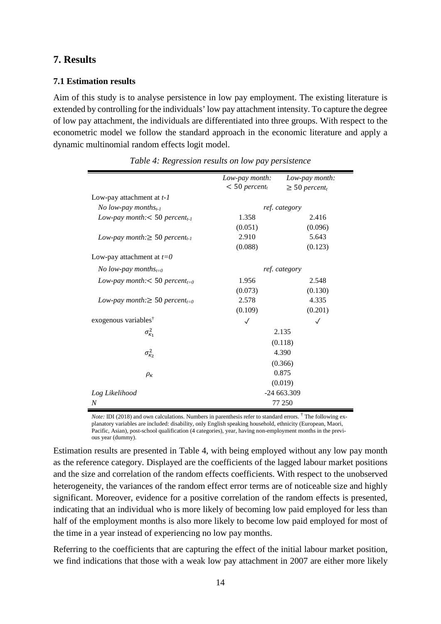## **7. Results**

### **7.1 Estimation results**

Aim of this study is to analyse persistence in low pay employment. The existing literature is extended by controlling for the individuals' low pay attachment intensity. To capture the degree of low pay attachment, the individuals are differentiated into three groups. With respect to the econometric model we follow the standard approach in the economic literature and apply a dynamic multinomial random effects logit model.

|                                                 | Low-pay month:              | Low-pay month:                 |  |
|-------------------------------------------------|-----------------------------|--------------------------------|--|
|                                                 | $< 50$ percent <sub>t</sub> | $\geq 50$ percent <sub>t</sub> |  |
| Low-pay attachment at $t-1$                     |                             |                                |  |
| No low-pay months <sub>t-1</sub>                |                             | ref. category                  |  |
| Low-pay month: $<$ 50 percent <sub>t-1</sub>    | 1.358                       | 2.416                          |  |
|                                                 | (0.051)                     | (0.096)                        |  |
| Low-pay month: $\geq 50$ percent <sub>t-1</sub> | 2.910                       | 5.643                          |  |
|                                                 | (0.088)                     | (0.123)                        |  |
| Low-pay attachment at $t=0$                     |                             |                                |  |
| No low-pay months <sub>t=0</sub>                | ref. category               |                                |  |
| Low-pay month: $<$ 50 percent <sub>t=0</sub>    | 1.956                       | 2.548                          |  |
|                                                 | (0.073)                     | (0.130)                        |  |
| Low-pay month: $\geq 50$ percent <sub>t=0</sub> | 2.578                       | 4.335                          |  |
|                                                 | (0.109)                     | (0.201)                        |  |
| exogenous variables <sup>†</sup>                | $\checkmark$                | $\checkmark$                   |  |
| $\sigma_{\kappa_1}^2$                           |                             | 2.135                          |  |
|                                                 |                             | (0.118)                        |  |
| $\sigma_{\kappa_2}^2$                           | 4.390                       |                                |  |
|                                                 | (0.366)                     |                                |  |
| $\rho_{\kappa}$                                 | 0.875                       |                                |  |
|                                                 | (0.019)                     |                                |  |
| Log Likelihood                                  | $-24663.309$                |                                |  |
| N                                               |                             | 77 250                         |  |

|  |  | Table 4: Regression results on low pay persistence |
|--|--|----------------------------------------------------|
|  |  |                                                    |

*Note:* IDI (2018) and own calculations. Numbers in parenthesis refer to standard errors. <sup>†</sup> The following explanatory variables are included: disability, only English speaking household, ethnicity (European, Maori, Pacific, Asian), post-school qualification (4 categories), year, having non-employment months in the previous year (dummy).

Estimation results are presented in Table 4, with being employed without any low pay month as the reference category. Displayed are the coefficients of the lagged labour market positions and the size and correlation of the random effects coefficients. With respect to the unobserved heterogeneity, the variances of the random effect error terms are of noticeable size and highly significant. Moreover, evidence for a positive correlation of the random effects is presented, indicating that an individual who is more likely of becoming low paid employed for less than half of the employment months is also more likely to become low paid employed for most of the time in a year instead of experiencing no low pay months.

Referring to the coefficients that are capturing the effect of the initial labour market position, we find indications that those with a weak low pay attachment in 2007 are either more likely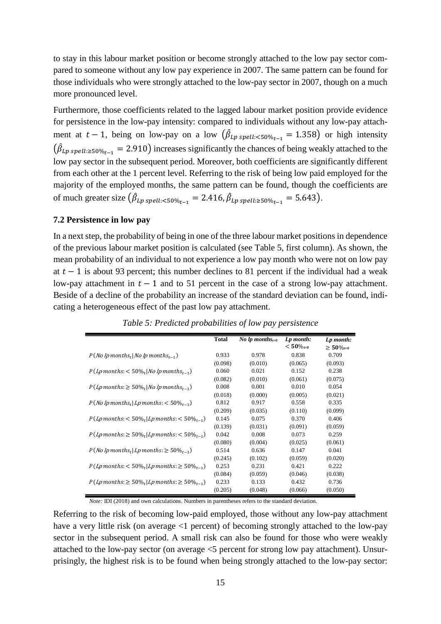to stay in this labour market position or become strongly attached to the low pay sector compared to someone without any low pay experience in 2007. The same pattern can be found for those individuals who were strongly attached to the low-pay sector in 2007, though on a much more pronounced level.

Furthermore, those coefficients related to the lagged labour market position provide evidence for persistence in the low-pay intensity: compared to individuals without any low-pay attachment at  $t-1$ , being on low-pay on a low  $(\beta_{Lp\,spell:<50\%_{t-1}}=1.358)$  or high intensity  $(\hat{\beta}_{Lp\ spelll:z50\%_{t-1}} = 2.910)$  increases significantly the chances of being weakly attached to the low pay sector in the subsequent period. Moreover, both coefficients are significantly different from each other at the 1 percent level. Referring to the risk of being low paid employed for the majority of the employed months, the same pattern can be found, though the coefficients are of much greater size  $(\hat{\beta}_{Lp \, spell: < 50\%_{t-1}} = 2.416, \hat{\beta}_{Lp \, spell: \ge 50\%_{t-1}} = 5.643)$ .

### **7.2 Persistence in low pay**

In a next step, the probability of being in one of the three labour market positions in dependence of the previous labour market position is calculated (see Table 5, first column). As shown, the mean probability of an individual to not experience a low pay month who were not on low pay at  $t - 1$  is about 93 percent; this number declines to 81 percent if the individual had a weak low-pay attachment in  $t - 1$  and to 51 percent in the case of a strong low-pay attachment. Beside of a decline of the probability an increase of the standard deviation can be found, indicating a heterogeneous effect of the past low pay attachment.

|                                                                            | <b>Total</b> | <i>No lp months<sub>t=0</sub></i> | Lp month:      | Lp month:       |
|----------------------------------------------------------------------------|--------------|-----------------------------------|----------------|-----------------|
|                                                                            |              |                                   | $< 50\%_{t=0}$ | $\geq 50\%$ t=0 |
| $P(No\!$ p months <sub>t</sub>   No lp months <sub>t-1</sub> )             | 0.933        | 0.978                             | 0.838          | 0.709           |
|                                                                            | (0.098)      | (0.010)                           | (0.065)        | (0.093)         |
| $P(Lp \, months: < 50\%_{t}   No \,lp \, months_{t-1})$                    | 0.060        | 0.021                             | 0.152          | 0.238           |
|                                                                            | (0.082)      | (0.010)                           | (0.061)        | (0.075)         |
| $P(Lp \, months: \geq 50\%_{t}   No \,lp \, months_{t-1})$                 | 0.008        | 0.001                             | 0.010          | 0.054           |
|                                                                            | (0.018)      | (0.000)                           | (0.005)        | (0.021)         |
| $P(No\!$ p months <sub>t</sub>   Lp months: $<$ 50 $\%$ <sub>t-1</sub> $)$ | 0.812        | 0.917                             | 0.558          | 0.335           |
|                                                                            | (0.209)      | (0.035)                           | (0.110)        | (0.099)         |
| $P(Lp \, months: < 50\%_{t}   Lp \, months: < 50\%_{t-1})$                 | 0.145        | 0.075                             | 0.370          | 0.406           |
|                                                                            | (0.139)      | (0.031)                           | (0.091)        | (0.059)         |
| $P(Lp \, months: \geq 50\%_{t}   Lp \, months: \lt 50\%_{t-1})$            | 0.042        | 0.008                             | 0.073          | 0.259           |
|                                                                            | (0.080)      | (0.004)                           | (0.025)        | (0.061)         |
| $P(No\!$ p months <sub>t</sub>   Lp months: $\geq 50\%_{t=1}$ )            | 0.514        | 0.636                             | 0.147          | 0.041           |
|                                                                            | (0.245)      | (0.102)                           | (0.059)        | (0.020)         |
| $P(Lp \, months: < 50\%_{t}   Lp \, months: \geq 50\%_{t-1})$              | 0.253        | 0.231                             | 0.421          | 0.222           |
|                                                                            | (0.084)      | (0.059)                           | (0.046)        | (0.038)         |
| $P(Lp \, months: \geq 50\%_{t}   Lp \, months: \geq 50\%_{t-1})$           | 0.233        | 0.133                             | 0.432          | 0.736           |
|                                                                            | (0.205)      | (0.048)                           | (0.066)        | (0.050)         |

*Table 5: Predicted probabilities of low pay persistence*

*Note: IDI* (2018) and own calculations. Numbers in parentheses refers to the standard deviation.

Referring to the risk of becoming low-paid employed, those without any low-pay attachment have a very little risk (on average  $\leq 1$  percent) of becoming strongly attached to the low-pay sector in the subsequent period. A small risk can also be found for those who were weakly attached to the low-pay sector (on average <5 percent for strong low pay attachment). Unsurprisingly, the highest risk is to be found when being strongly attached to the low-pay sector: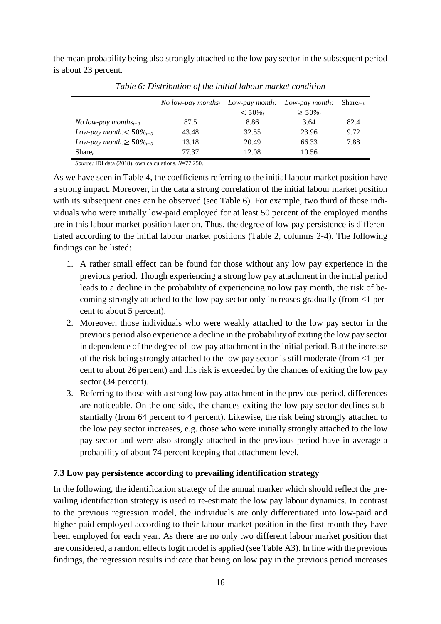the mean probability being also strongly attached to the low pay sector in the subsequent period is about 23 percent.

|                                         | No low-pay months <sub>t</sub> Low-pay month: Low-pay month: |          |          | $Share_{t=0}$ |
|-----------------------------------------|--------------------------------------------------------------|----------|----------|---------------|
|                                         |                                                              | $< 50\%$ | $> 50\%$ |               |
| <i>No low-pay months</i> <sub>t=0</sub> | 87.5                                                         | 8.86     | 3.64     | 82.4          |
| Low-pay month: $< 50\%_{t=0}$           | 43.48                                                        | 32.55    | 23.96    | 9.72          |
| Low-pay month: $\geq 50\%_{t=0}$        | 13.18                                                        | 20.49    | 66.33    | 7.88          |
| $Share_t$                               | 77.37                                                        | 12.08    | 10.56    |               |

*Table 6: Distribution of the initial labour market condition*

*Source:* IDI data (2018), own calculations. *N*=77 250.

As we have seen in Table 4, the coefficients referring to the initial labour market position have a strong impact. Moreover, in the data a strong correlation of the initial labour market position with its subsequent ones can be observed (see Table 6). For example, two third of those individuals who were initially low-paid employed for at least 50 percent of the employed months are in this labour market position later on. Thus, the degree of low pay persistence is differentiated according to the initial labour market positions (Table 2, columns 2-4). The following findings can be listed:

- 1. A rather small effect can be found for those without any low pay experience in the previous period. Though experiencing a strong low pay attachment in the initial period leads to a decline in the probability of experiencing no low pay month, the risk of becoming strongly attached to the low pay sector only increases gradually (from <1 percent to about 5 percent).
- 2. Moreover, those individuals who were weakly attached to the low pay sector in the previous period also experience a decline in the probability of exiting the low pay sector in dependence of the degree of low-pay attachment in the initial period. But the increase of the risk being strongly attached to the low pay sector is still moderate (from <1 percent to about 26 percent) and this risk is exceeded by the chances of exiting the low pay sector (34 percent).
- 3. Referring to those with a strong low pay attachment in the previous period, differences are noticeable. On the one side, the chances exiting the low pay sector declines substantially (from 64 percent to 4 percent). Likewise, the risk being strongly attached to the low pay sector increases, e.g. those who were initially strongly attached to the low pay sector and were also strongly attached in the previous period have in average a probability of about 74 percent keeping that attachment level.

### **7.3 Low pay persistence according to prevailing identification strategy**

In the following, the identification strategy of the annual marker which should reflect the prevailing identification strategy is used to re-estimate the low pay labour dynamics. In contrast to the previous regression model, the individuals are only differentiated into low-paid and higher-paid employed according to their labour market position in the first month they have been employed for each year. As there are no only two different labour market position that are considered, a random effects logit model is applied (see Table A3). In line with the previous findings, the regression results indicate that being on low pay in the previous period increases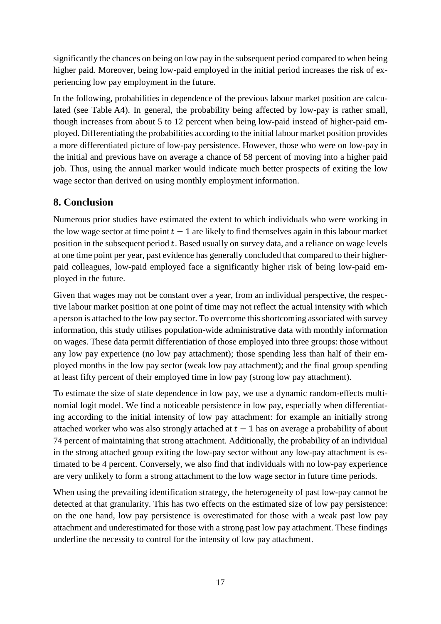significantly the chances on being on low pay in the subsequent period compared to when being higher paid. Moreover, being low-paid employed in the initial period increases the risk of experiencing low pay employment in the future.

In the following, probabilities in dependence of the previous labour market position are calculated (see Table A4). In general, the probability being affected by low-pay is rather small, though increases from about 5 to 12 percent when being low-paid instead of higher-paid employed. Differentiating the probabilities according to the initial labour market position provides a more differentiated picture of low-pay persistence. However, those who were on low-pay in the initial and previous have on average a chance of 58 percent of moving into a higher paid job. Thus, using the annual marker would indicate much better prospects of exiting the low wage sector than derived on using monthly employment information.

# **8. Conclusion**

Numerous prior studies have estimated the extent to which individuals who were working in the low wage sector at time point  $t - 1$  are likely to find themselves again in this labour market position in the subsequent period  $t$ . Based usually on survey data, and a reliance on wage levels at one time point per year, past evidence has generally concluded that compared to their higherpaid colleagues, low-paid employed face a significantly higher risk of being low-paid employed in the future.

Given that wages may not be constant over a year, from an individual perspective, the respective labour market position at one point of time may not reflect the actual intensity with which a person is attached to the low pay sector. To overcome this shortcoming associated with survey information, this study utilises population-wide administrative data with monthly information on wages. These data permit differentiation of those employed into three groups: those without any low pay experience (no low pay attachment); those spending less than half of their employed months in the low pay sector (weak low pay attachment); and the final group spending at least fifty percent of their employed time in low pay (strong low pay attachment).

To estimate the size of state dependence in low pay, we use a dynamic random-effects multinomial logit model. We find a noticeable persistence in low pay, especially when differentiating according to the initial intensity of low pay attachment: for example an initially strong attached worker who was also strongly attached at  $t - 1$  has on average a probability of about 74 percent of maintaining that strong attachment. Additionally, the probability of an individual in the strong attached group exiting the low-pay sector without any low-pay attachment is estimated to be 4 percent. Conversely, we also find that individuals with no low-pay experience are very unlikely to form a strong attachment to the low wage sector in future time periods.

When using the prevailing identification strategy, the heterogeneity of past low-pay cannot be detected at that granularity. This has two effects on the estimated size of low pay persistence: on the one hand, low pay persistence is overestimated for those with a weak past low pay attachment and underestimated for those with a strong past low pay attachment. These findings underline the necessity to control for the intensity of low pay attachment.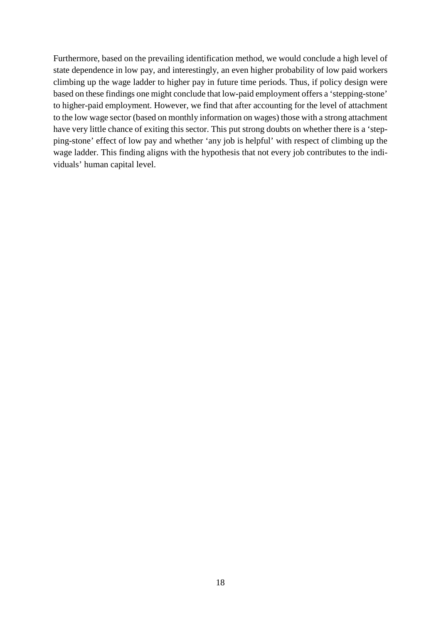Furthermore, based on the prevailing identification method, we would conclude a high level of state dependence in low pay, and interestingly, an even higher probability of low paid workers climbing up the wage ladder to higher pay in future time periods. Thus, if policy design were based on these findings one might conclude that low-paid employment offers a 'stepping-stone' to higher-paid employment. However, we find that after accounting for the level of attachment to the low wage sector (based on monthly information on wages) those with a strong attachment have very little chance of exiting this sector. This put strong doubts on whether there is a 'stepping-stone' effect of low pay and whether 'any job is helpful' with respect of climbing up the wage ladder. This finding aligns with the hypothesis that not every job contributes to the individuals' human capital level.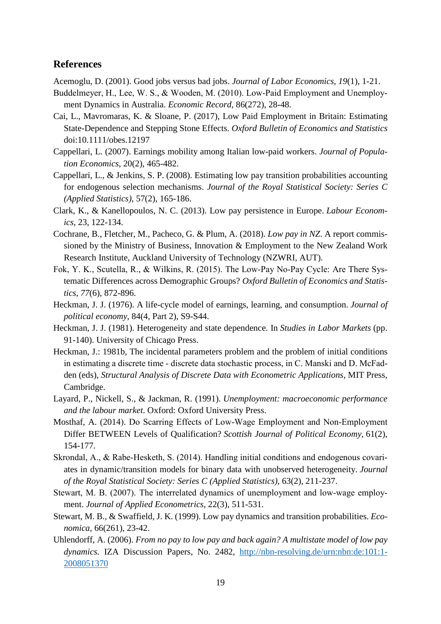## **References**

Acemoglu, D. (2001). Good jobs versus bad jobs. *Journal of Labor Economics*, *19*(1), 1-21.

- Buddelmeyer, H., Lee, W. S., & Wooden, M. (2010). Low‐Paid Employment and Unemployment Dynamics in Australia. *Economic Record*, 86(272), 28-48.
- Cai, L., Mavromaras, K. & Sloane, P. (2017), Low Paid Employment in Britain: Estimating State-Dependence and Stepping Stone Effects. *Oxford Bulletin of Economics and Statistics* doi:10.1111/obes.12197
- Cappellari, L. (2007). Earnings mobility among Italian low-paid workers. *Journal of Population Economics*, 20(2), 465-482.
- Cappellari, L., & Jenkins, S. P. (2008). Estimating low pay transition probabilities accounting for endogenous selection mechanisms. *Journal of the Royal Statistical Society: Series C (Applied Statistics)*, 57(2), 165-186.
- Clark, K., & Kanellopoulos, N. C. (2013). Low pay persistence in Europe. *Labour Economics*, 23, 122-134.
- Cochrane, B., Fletcher, M., Pacheco, G. & Plum, A. (2018). *Low pay in NZ*. A report commissioned by the Ministry of Business, Innovation & Employment to the New Zealand Work Research Institute, Auckland University of Technology (NZWRI, AUT).
- Fok, Y. K., Scutella, R., & Wilkins, R. (2015). The Low‐Pay No‐Pay Cycle: Are There Systematic Differences across Demographic Groups? *Oxford Bulletin of Economics and Statistics*, *77*(6), 872-896.
- Heckman, J. J. (1976). A life-cycle model of earnings, learning, and consumption. *Journal of political economy*, 84(4, Part 2), S9-S44.
- Heckman, J. J. (1981). Heterogeneity and state dependence. In *Studies in Labor Markets* (pp. 91-140). University of Chicago Press.
- Heckman, J.: 1981b, The incidental parameters problem and the problem of initial conditions in estimating a discrete time ‐ discrete data stochastic process, in C. Manski and D. McFadden (eds), *Structural Analysis of Discrete Data with Econometric Applications*, MIT Press, Cambridge.
- Layard, P., Nickell, S., & Jackman, R. (1991). *Unemployment: macroeconomic performance and the labour market*. Oxford: Oxford University Press.
- Mosthaf, A. (2014). Do Scarring Effects of Low‐Wage Employment and Non‐Employment Differ BETWEEN Levels of Qualification? *Scottish Journal of Political Economy*, 61(2), 154-177.
- Skrondal, A., & Rabe‐Hesketh, S. (2014). Handling initial conditions and endogenous covariates in dynamic/transition models for binary data with unobserved heterogeneity. *Journal of the Royal Statistical Society: Series C (Applied Statistics)*, 63(2), 211-237.
- Stewart, M. B. (2007). The interrelated dynamics of unemployment and low-wage employment. *Journal of Applied Econometrics*, 22(3), 511-531.
- Stewart, M. B., & Swaffield, J. K. (1999). Low pay dynamics and transition probabilities. *Economica*, 66(261), 23-42.
- Uhlendorff, A. (2006). *From no pay to low pay and back again? A multistate model of low pay dynamics.* IZA Discussion Papers, No. 2482, [http://nbn-resolving.de/urn:nbn:de:101:1-](http://nbn-resolving.de/urn:nbn:de:101:1-2008051370) [2008051370](http://nbn-resolving.de/urn:nbn:de:101:1-2008051370)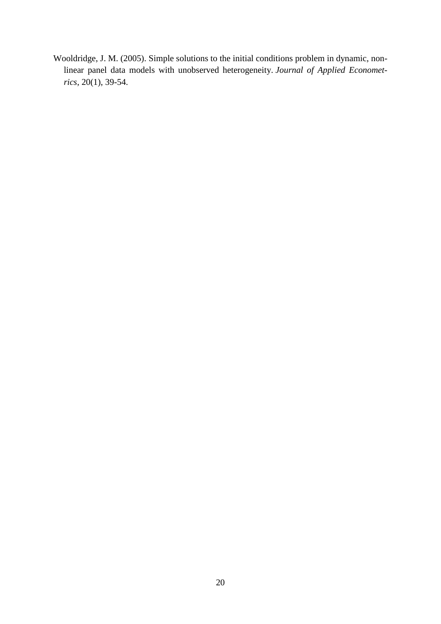Wooldridge, J. M. (2005). Simple solutions to the initial conditions problem in dynamic, nonlinear panel data models with unobserved heterogeneity. *Journal of Applied Econometrics*, 20(1), 39-54.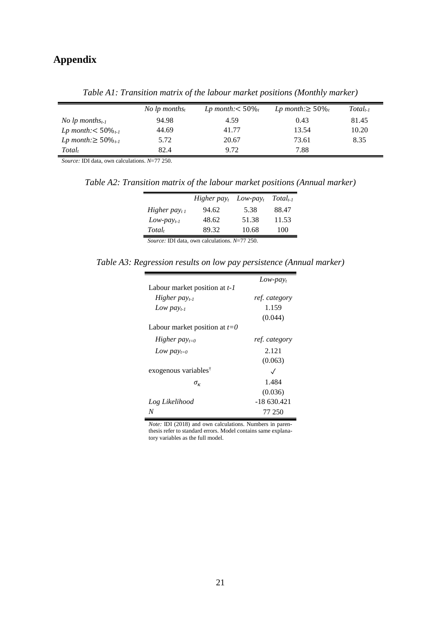# **Appendix**

|                                    | <i>No lp months<sub>t</sub></i> | Lp month: $<$ 50% | $Lp$ month: $\geq 50\%$ | $Total_{t-1}$ |
|------------------------------------|---------------------------------|-------------------|-------------------------|---------------|
| <i>No lp months</i> <sub>t-1</sub> | 94.98                           | 4.59              | 0.43                    | 81.45         |
| <i>Lp</i> month: $<$ 50 $\%_{t-1}$ | 44.69                           | 41.77             | 13.54                   | 10.20         |
| Lp month: $\geq 50\%_{t-1}$        | 5.72                            | 20.67             | 73.61                   | 8.35          |
| Total,                             | 82.4                            | 9.72              | 7.88                    |               |

*Table A1: Transition matrix of the labour market positions (Monthly marker)*

*Source:* IDI data, own calculations. *N*=77 250.

*Table A2: Transition matrix of the labour market positions (Annual marker)*

|                           | Higher pay $_t$ | $Low$ -pa $y_t$ | $Total_{t-1}$ |
|---------------------------|-----------------|-----------------|---------------|
| Higher pay <sub>t 1</sub> | 94.62           | 5.38            | 88.47         |
| $Low$ -pay <sub>t-1</sub> | 48.62           | 51.38           | 11.53         |
| Total <sub>t</sub>        | 89.32           | 10.68           | 100           |

*Source:* IDI data, own calculations. *N*=77 250.

*Table A3: Regression results on low pay persistence (Annual marker)*

|                                                     | $Low$ - $payt$ |
|-----------------------------------------------------|----------------|
| Labour market position at $t-1$                     |                |
| Higher pay $_{t-1}$                                 | ref. category  |
| Low pay <sub>t-1</sub>                              | 1.159          |
|                                                     | (0.044)        |
| Labour market position at $t=0$                     |                |
| Higher $pay_{t=0}$                                  | ref. category  |
| Low $pay_{t=0}$                                     | 2.121          |
|                                                     | (0.063)        |
| exogenous variables <sup><math>\dagger</math></sup> | $\sqrt{}$      |
| $\sigma_{\kappa}$                                   | 1.484          |
|                                                     | (0.036)        |
| Log Likelihood                                      | $-18630.421$   |
| N                                                   | 77 250         |

*Note:* IDI (2018) and own calculations. Numbers in parenthesis refer to standard errors. Model contains same explanatory variables as the full model.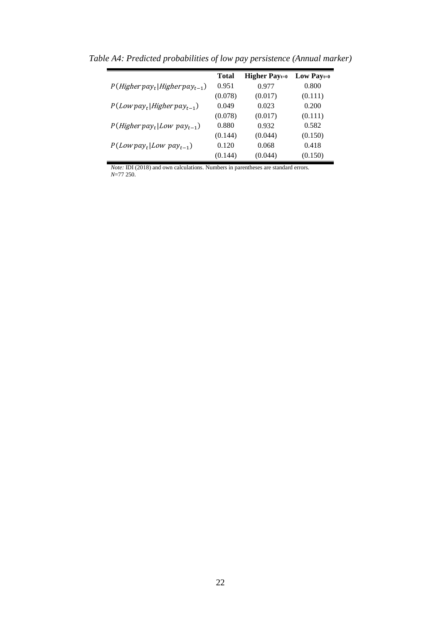|                                    | <b>Total</b> | <b>Higher Payt=0</b> | Low Pay $_{t=0}$ |
|------------------------------------|--------------|----------------------|------------------|
| $P(Higher pay_t Higher pay_{t-1})$ | 0.951        | 0.977                | 0.800            |
|                                    | (0.078)      | (0.017)              | (0.111)          |
| $P(Low pay_t Higher pay_{t-1})$    | 0.049        | 0.023                | 0.200            |
|                                    | (0.078)      | (0.017)              | (0.111)          |
| $P(Higher pay_t Low pay_{t-1})$    | 0.880        | 0.932                | 0.582            |
|                                    | (0.144)      | (0.044)              | (0.150)          |
| $P(Low pay_t Low pay_{t-1})$       | 0.120        | 0.068                | 0.418            |
|                                    | (0.144)      | (0.044)              | (0.150)          |

*Table A4: Predicted probabilities of low pay persistence (Annual marker)*

*Note:* IDI (2018) and own calculations. Numbers in parentheses are standard errors. *N*=77 250.